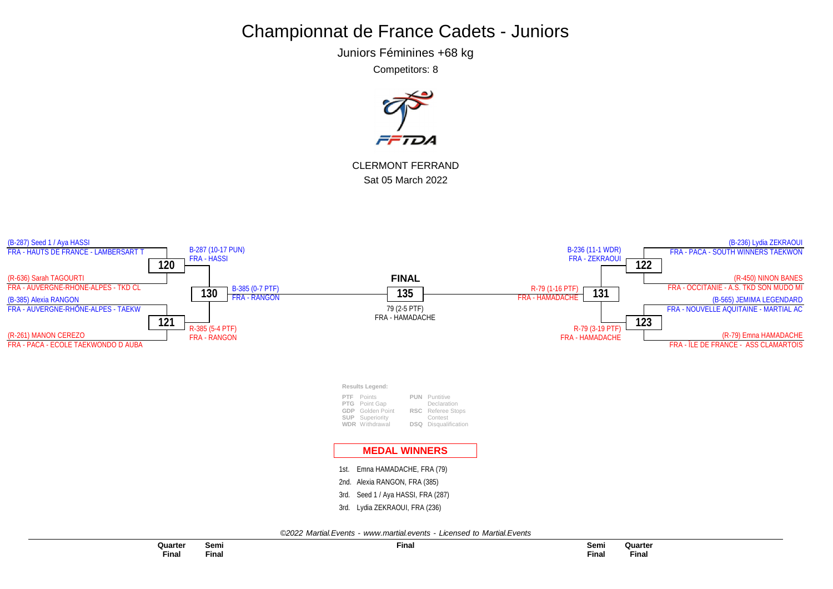Juniors Féminines +68 kg

Competitors: 8



CLERMONT FERRAND Sat 05 March 2022

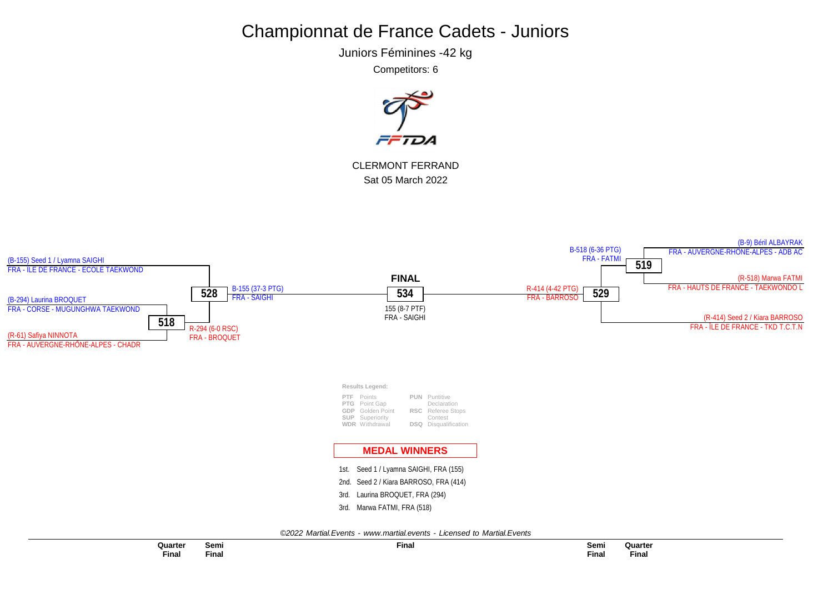Juniors Féminines -42 kg

Competitors: 6



CLERMONT FERRAND Sat 05 March 2022



**Quarter Final**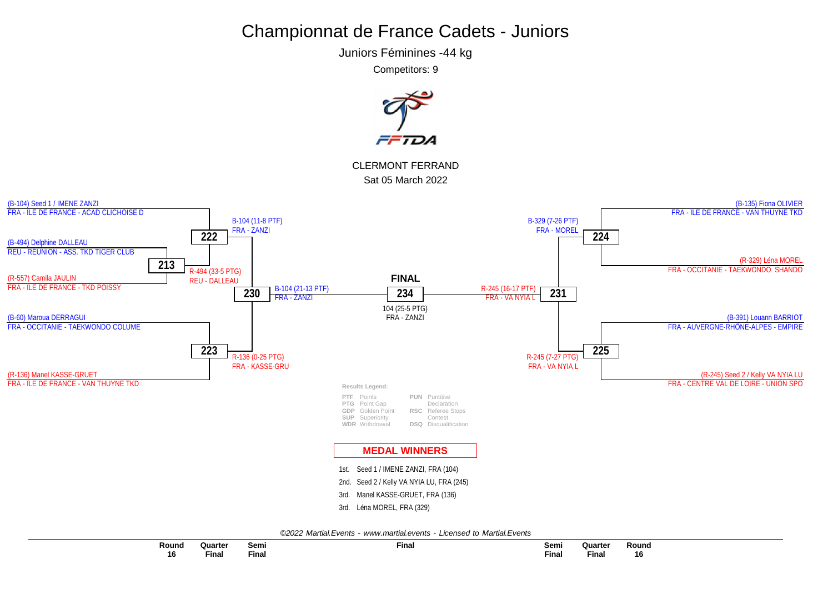Juniors Féminines -44 kg

Competitors: 9

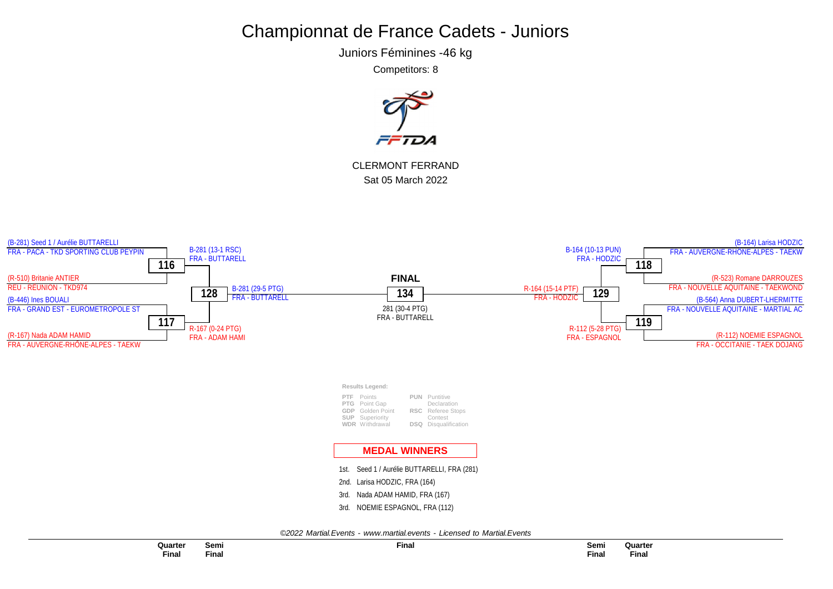Juniors Féminines -46 kg

Competitors: 8



CLERMONT FERRAND Sat 05 March 2022

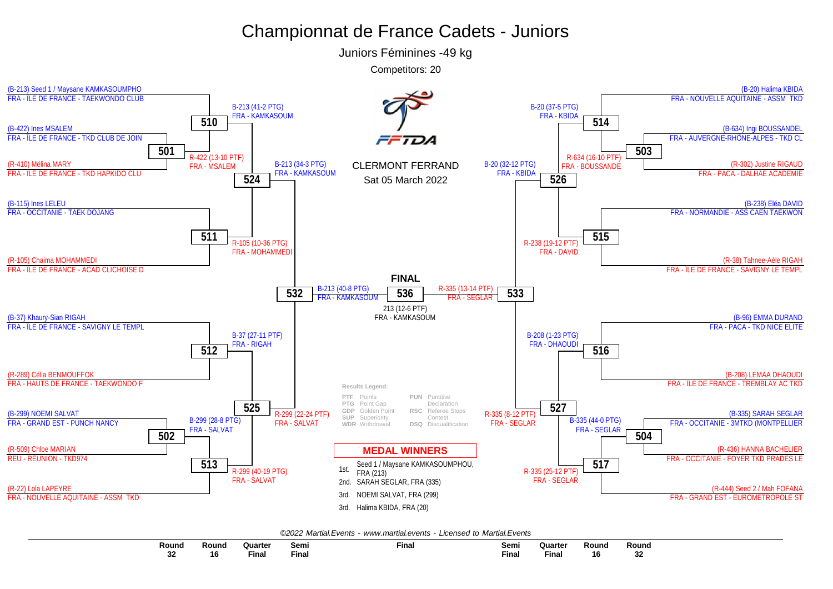Juniors Féminines -49 kg



|  |  | ©2022 Martial.Events - www.martial.events - Licensed to Martial.Events |  |  |  |  |
|--|--|------------------------------------------------------------------------|--|--|--|--|
|--|--|------------------------------------------------------------------------|--|--|--|--|

| Round | <b>Roun</b> | Quarter                                                                                            | Semi  | Final | Semi         | Quarter | Round | Round     |
|-------|-------------|----------------------------------------------------------------------------------------------------|-------|-------|--------------|---------|-------|-----------|
|       |             | and the state of the state of the state of the state of the state of the state of the state of the |       |       |              |         |       |           |
| J۷    | 16          | Fina.                                                                                              | Final |       | <b>Final</b> | Final   | 16    | nn.<br>◡▵ |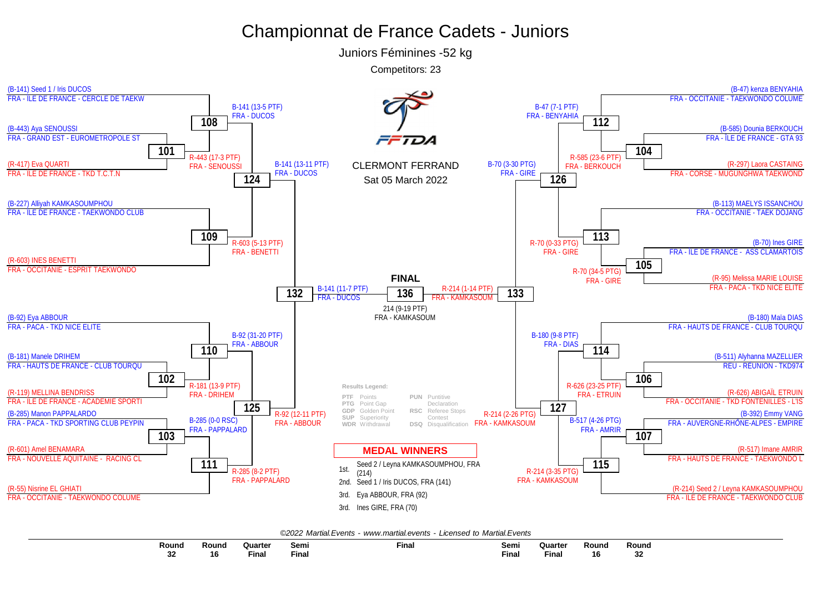Juniors Féminines -52 kg

Competitors: 23



| रound         | Round | Quarter                                                                                            | Semi        | <b>Final</b> | Semi         | Quarter | Round | Round     |
|---------------|-------|----------------------------------------------------------------------------------------------------|-------------|--------------|--------------|---------|-------|-----------|
|               |       | and the state of the state of the state of the state of the state of the state of the state of the |             |              | $ -$         |         |       |           |
| $\sim$<br>-24 | ו ה   | <b>Fina</b>                                                                                        | --<br>Fina. |              | <b>Final</b> | Fina.   | 16    | ~~<br>-34 |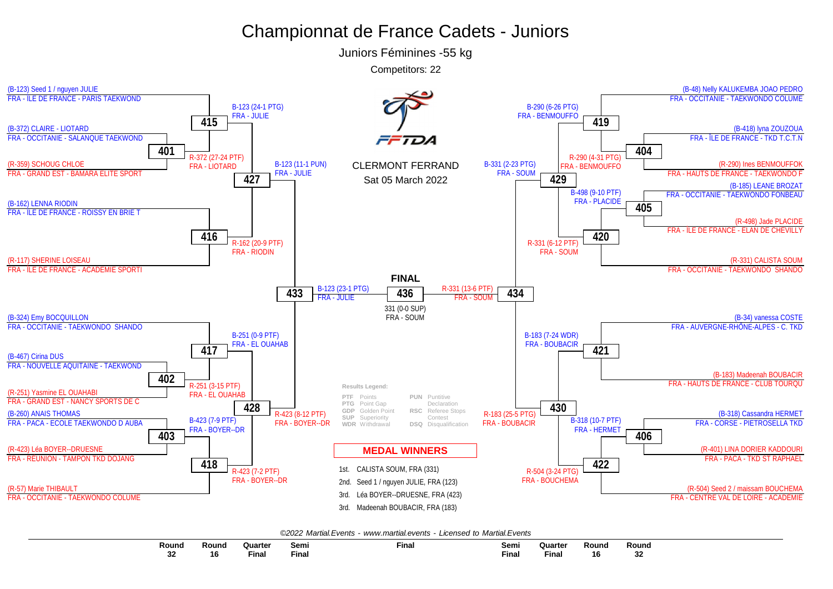Juniors Féminines -55 kg



|--|

| Round     | Round | Quarter | Sem.         | <b>Final</b> | Semi         | Quarte | Round | Round    |
|-----------|-------|---------|--------------|--------------|--------------|--------|-------|----------|
|           |       |         |              |              |              |        |       |          |
| ົາງ<br>32 | 16    | Finar   | <b>Final</b> |              | <b>Final</b> | Final  | 16    | つつ<br>JЕ |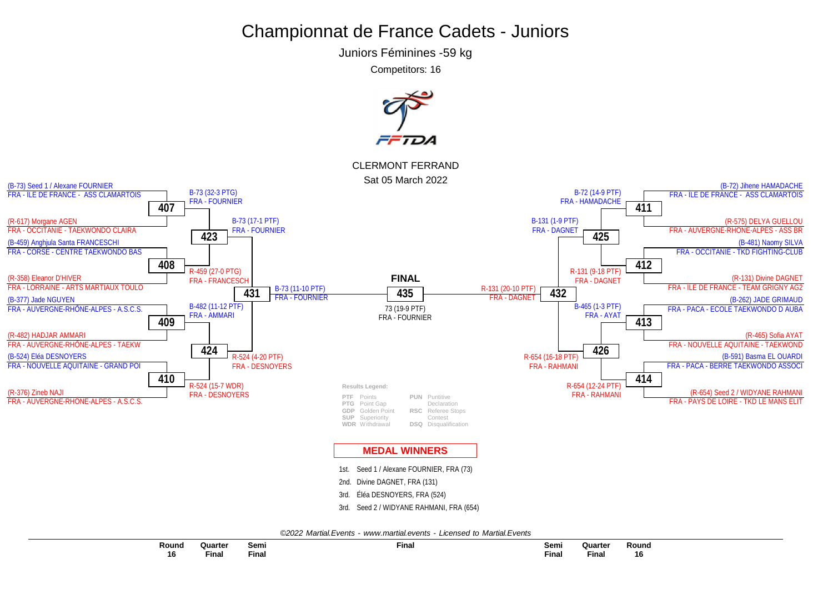Juniors Féminines -59 kg

Competitors: 16

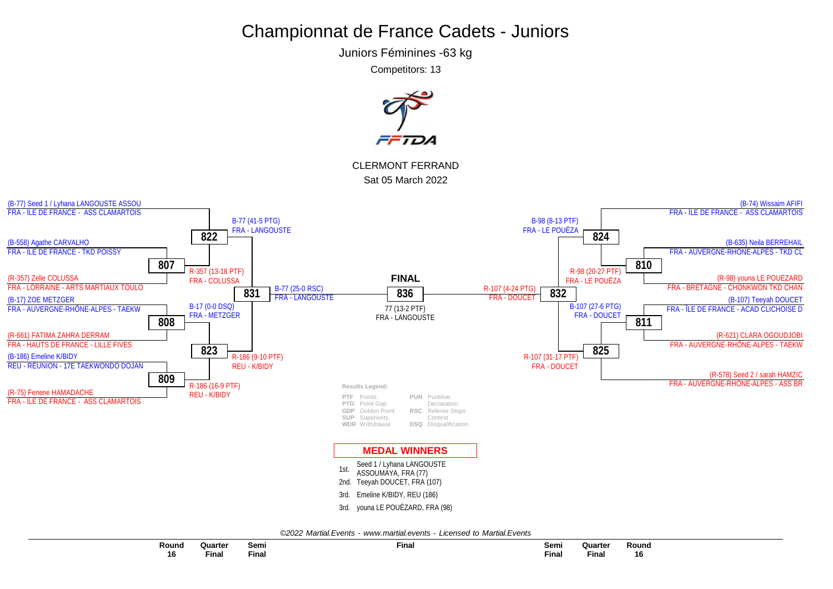Juniors Féminines -63 kg

Competitors: 13



| Round        | Quarter | Semi<br>___ | Final | Semi  | Quarter     | २ound        |
|--------------|---------|-------------|-------|-------|-------------|--------------|
| 16<br>$\sim$ | Fina.   | Final       | --    | Final | --<br>Final | 16<br>$\sim$ |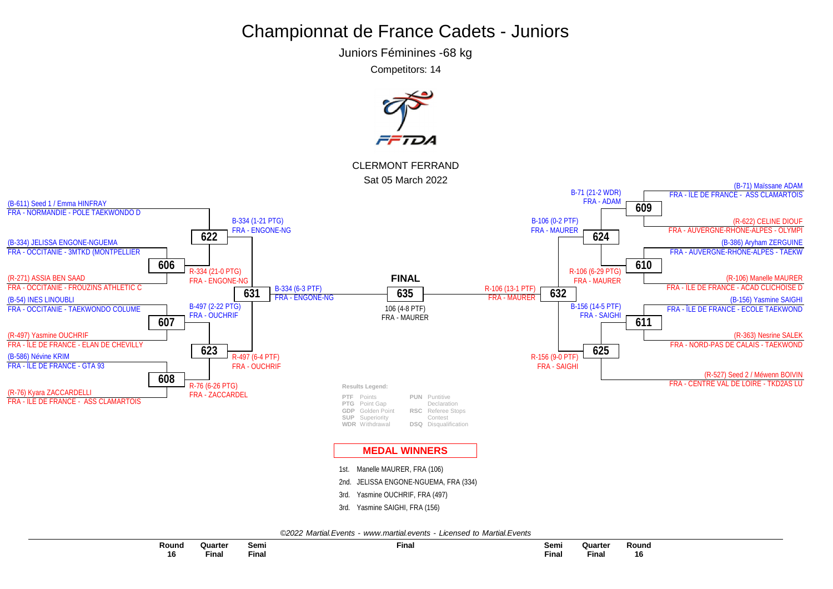Juniors Féminines -68 kg

Competitors: 14

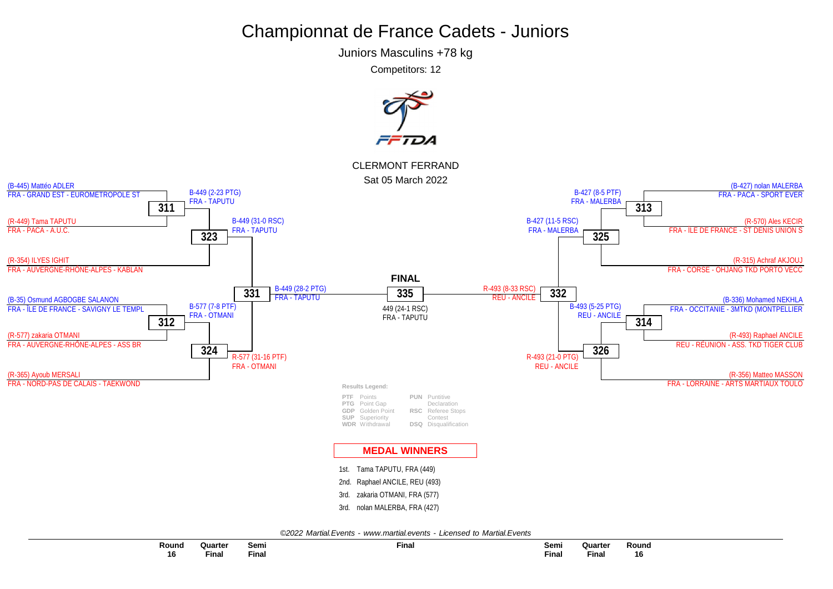Juniors Masculins +78 kg

Competitors: 12

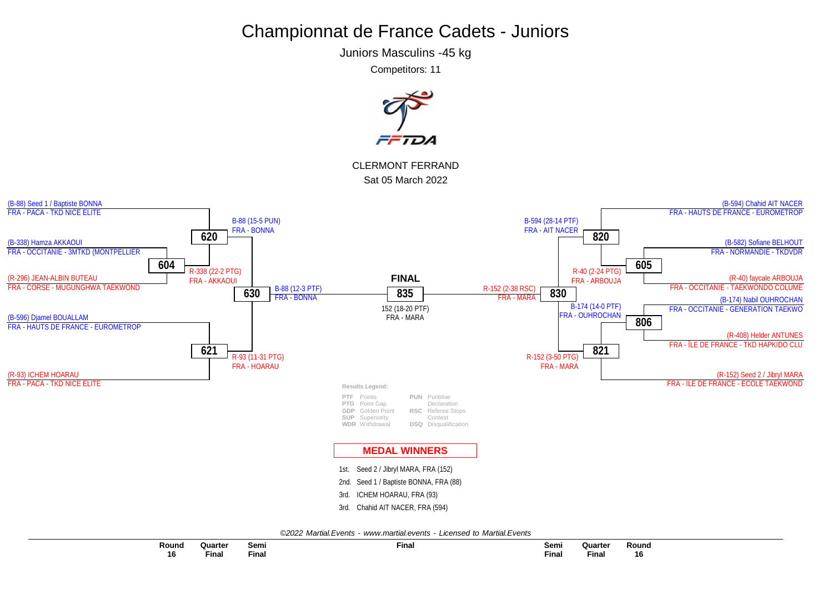Juniors Masculins -45 kg

Competitors: 11



| Round | Quarter | Semi         | <b>Final</b> | Semi  | Quarter | Round |  |
|-------|---------|--------------|--------------|-------|---------|-------|--|
| 16    | Final   | <b>Final</b> |              | Final | Final   | 16    |  |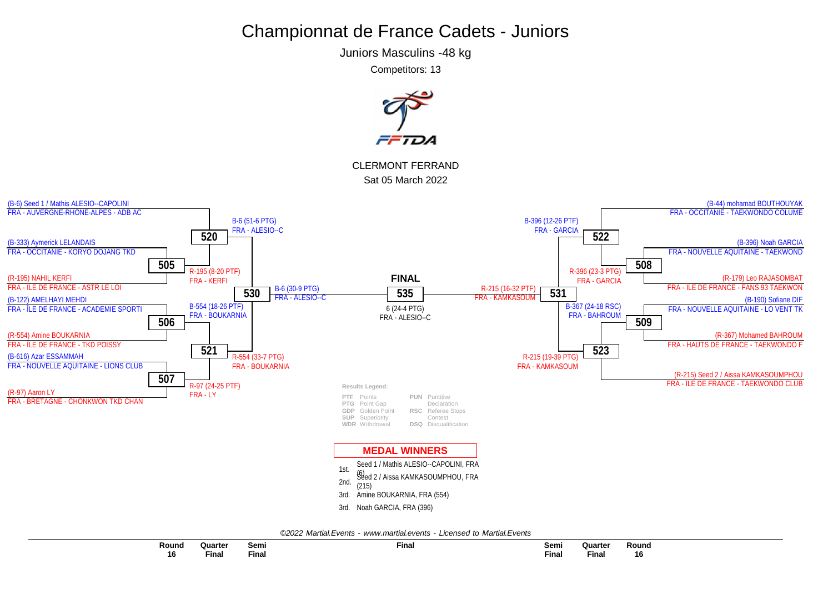Juniors Masculins -48 kg

Competitors: 13

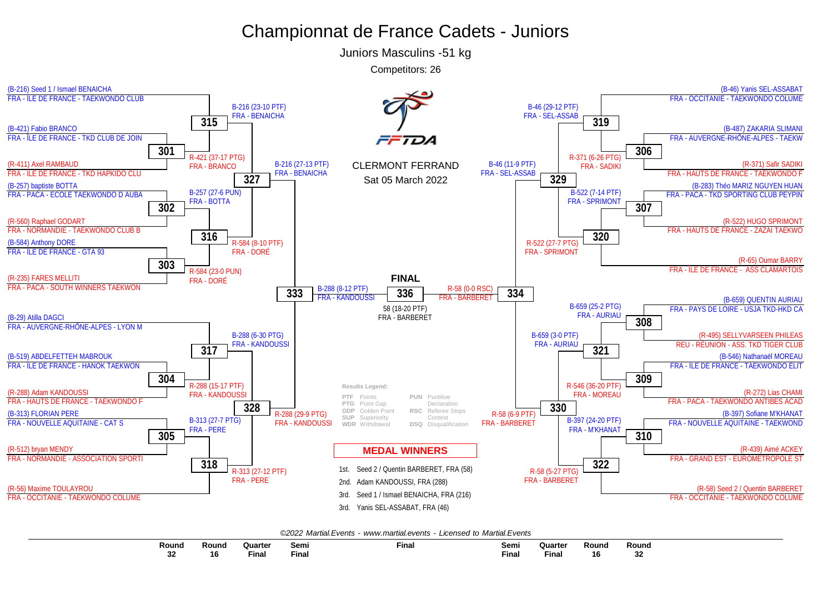Juniors Masculins -51 kg

Competitors: 26



| Round         | <b>Round</b> | Quarter                                                                                                         | Semi  | Final | Semi         | Quarter                                                                                                         | Round     | Round        |
|---------------|--------------|-----------------------------------------------------------------------------------------------------------------|-------|-------|--------------|-----------------------------------------------------------------------------------------------------------------|-----------|--------------|
|               |              | and the state of the state of the state of the state of the state of the state of the state of the state of the |       |       |              | and the state of the state of the state of the state of the state of the state of the state of the state of the |           |              |
| $\sim$<br>-94 | 1 t          | Fina.                                                                                                           | Final |       | <b>Final</b> | Fina.                                                                                                           | 40<br>l o | $\sim$<br>ЭZ |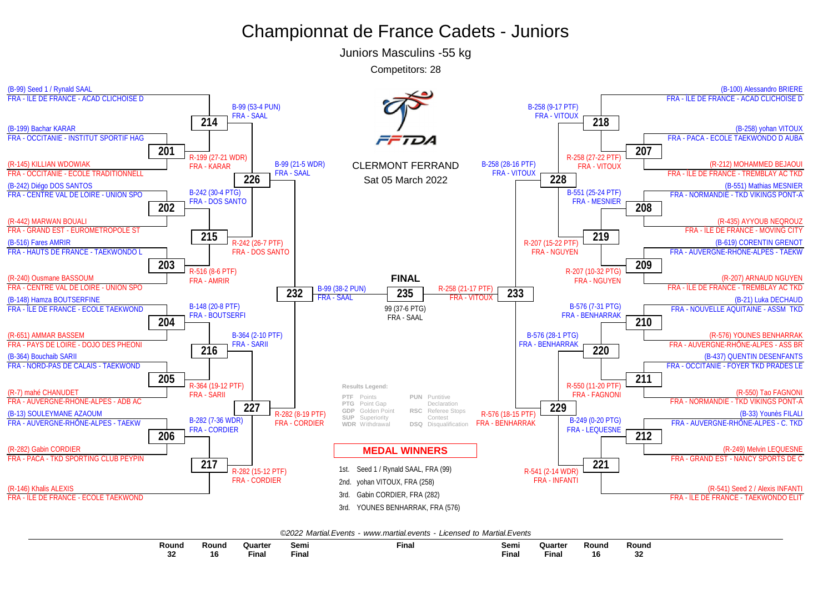Juniors Masculins -55 kg

Competitors: 28



| Round   | Round | Quarter                                                                                                         | Semı  | Final | Semi        | <b>Quarte</b>                                                                                      | Round | Round |
|---------|-------|-----------------------------------------------------------------------------------------------------------------|-------|-------|-------------|----------------------------------------------------------------------------------------------------|-------|-------|
|         |       | and the state of the state of the state of the state of the state of the state of the state of the state of the |       |       |             | and the state of the state of the state of the state of the state of the state of the state of the |       |       |
| ^^<br>ັ | ם ו   | Fina                                                                                                            | ∙inal |       | --<br>Final | Fina.                                                                                              | 16    |       |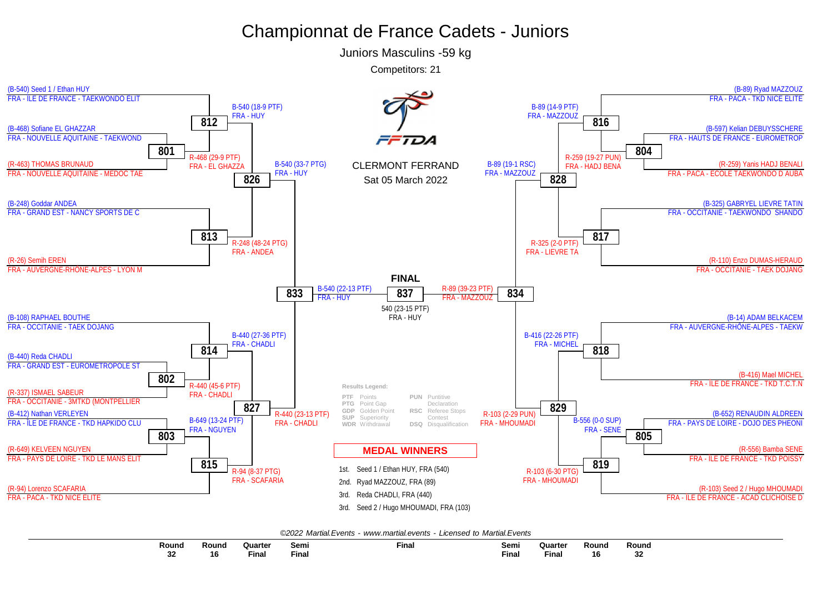Juniors Masculins -59 kg



|--|

| Round       | Round | Quarter<br>and the state of the state of the state of the state of the state of the state of the state of the state of the | Semı  | Fina. | Semi | Quarte<br>and the state of the state of the state of the state of the state of the state of the state of the | Round | Round |
|-------------|-------|----------------------------------------------------------------------------------------------------------------------------|-------|-------|------|--------------------------------------------------------------------------------------------------------------|-------|-------|
| nn.<br>- 3∠ | 16    | Fina                                                                                                                       | Fina. |       | Fina | Fina                                                                                                         | . с   | --    |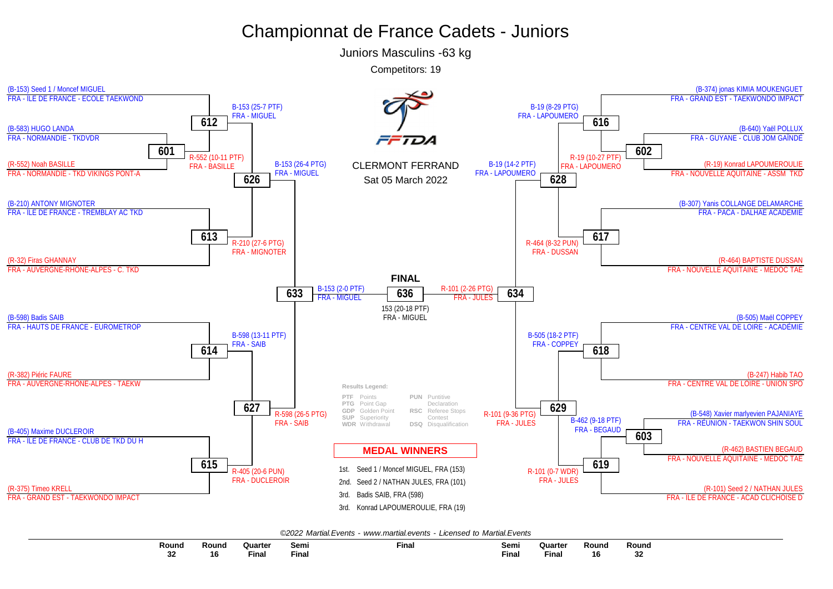Juniors Masculins -63 kg

Competitors: 19



| <b>Round</b> | Round | Quarter | Semı         | Final | Semi  | Quarter      | <b>Round</b> | Round       |
|--------------|-------|---------|--------------|-------|-------|--------------|--------------|-------------|
|              |       |         |              |       |       |              |              |             |
| <br>ЭZ       | 16    | Fina.   | $-$<br>Fina. |       | Final | <b>Final</b> | 16           | $\sim$<br>◡ |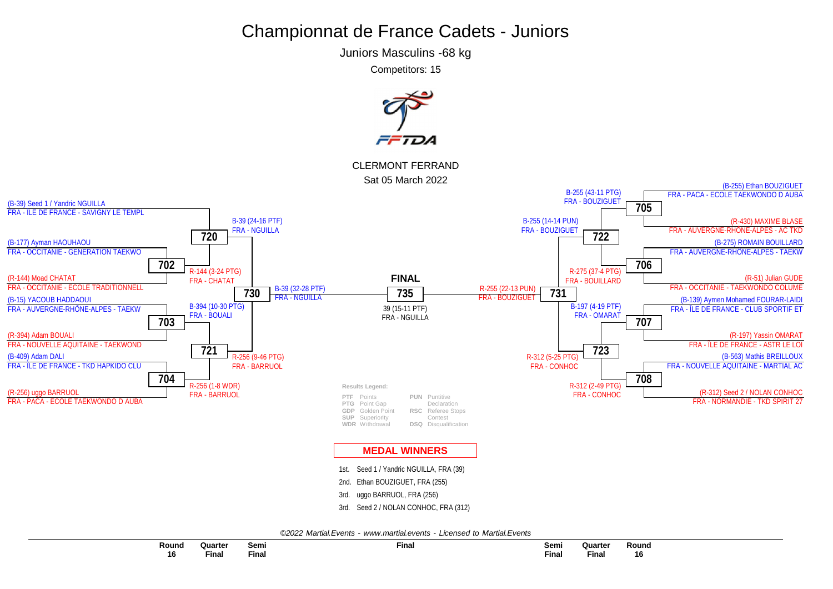Juniors Masculins -68 kg

Competitors: 15

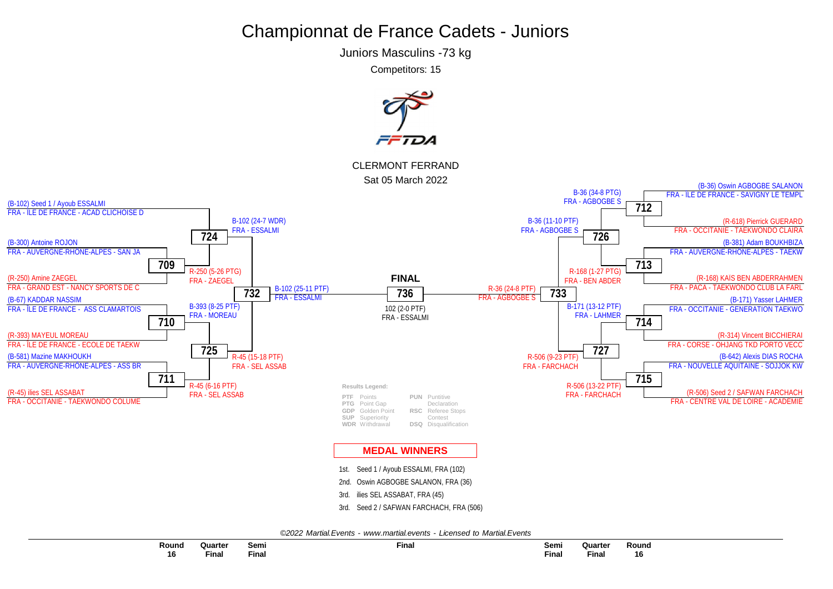Juniors Masculins -73 kg

Competitors: 15